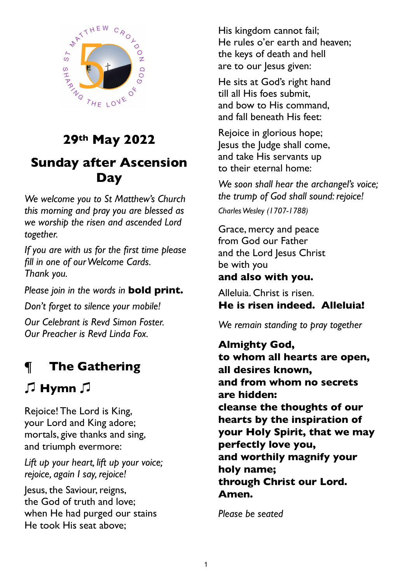

# **29th May 2022**

# **Sunday after Ascension Day**

*We welcome you to St Matthew's Church this morning and pray you are blessed as we worship the risen and ascended Lord together.* 

*If you are with us for the first time please fill in one of our Welcome Cards. Thank you.* 

*Please join in the words in* **bold print.** 

*Don't forget to silence your mobile!*

*Our Celebrant is Revd Simon Foster. Our Preacher is Revd Linda Fox.*

# **¶ The Gathering**

# 㽈 **Hymn** 㽈

Rejoice! The Lord is King, your Lord and King adore; mortals, give thanks and sing, and triumph evermore:

*Lift up your heart, lift up your voice; rejoice, again I say, rejoice!*

Jesus, the Saviour, reigns, the God of truth and love; when He had purged our stains He took His seat above;

His kingdom cannot fail; He rules o'er earth and heaven; the keys of death and hell are to our lesus given:

He sits at God's right hand till all His foes submit, and bow to His command, and fall beneath His feet:

Rejoice in glorious hope; Jesus the Judge shall come, and take His servants up to their eternal home:

*We soon shall hear the archangel's voice; the trump of God shall sound: rejoice!*

*Charles Wesley (1707-1788)*

Grace, mercy and peace from God our Father and the Lord Jesus Christ be with you **and also with you.**

Alleluia. Christ is risen. **He is risen indeed. Alleluia!**

*We remain standing to pray together*

### **Almighty God,**

**to whom all hearts are open, all desires known, and from whom no secrets are hidden: cleanse the thoughts of our hearts by the inspiration of your Holy Spirit, that we may perfectly love you, and worthily magnify your holy name; through Christ our Lord. Amen.**

*Please be seated*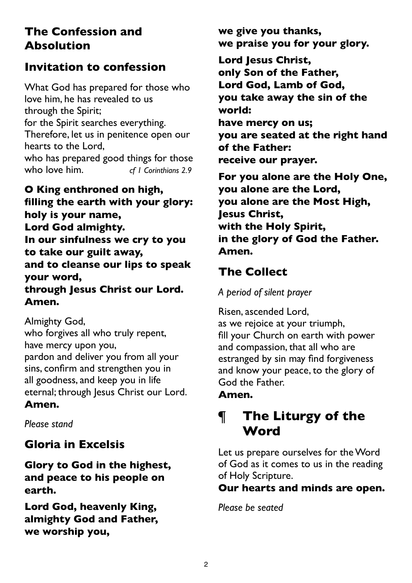## **The Confession and Absolution**

## **Invitation to confession**

What God has prepared for those who love him, he has revealed to us through the Spirit; for the Spirit searches everything. Therefore, let us in penitence open our hearts to the Lord, who has prepared good things for those who love him. *cf I Corinthians 2.9* 

**O King enthroned on high, filling the earth with your glory: holy is your name, Lord God almighty. In our sinfulness we cry to you to take our guilt away,** 

**and to cleanse our lips to speak your word,**

### **through Jesus Christ our Lord. Amen.**

Almighty God, who forgives all who truly repent, have mercy upon you, pardon and deliver you from all your sins, confirm and strengthen you in all goodness, and keep you in life eternal; through Jesus Christ our Lord. **Amen.** 

*Please stand* 

## **Gloria in Excelsis**

**Glory to God in the highest, and peace to his people on earth.**

**Lord God, heavenly King, almighty God and Father, we worship you,** 

**we give you thanks, we praise you for your glory.**

**Lord Jesus Christ, only Son of the Father, Lord God, Lamb of God, you take away the sin of the world: have mercy on us; you are seated at the right hand of the Father: receive our prayer.**

**For you alone are the Holy One, you alone are the Lord, you alone are the Most High, Jesus Christ, with the Holy Spirit, in the glory of God the Father. Amen.**

## **The Collect**

*A period of silent prayer*

Risen, ascended Lord, as we rejoice at your triumph, fill your Church on earth with power and compassion, that all who are estranged by sin may find forgiveness and know your peace, to the glory of God the Father.

### **Amen.**

# **¶ The Liturgy of the Word**

Let us prepare ourselves for the Word of God as it comes to us in the reading of Holy Scripture.

### **Our hearts and minds are open.**

*Please be seated*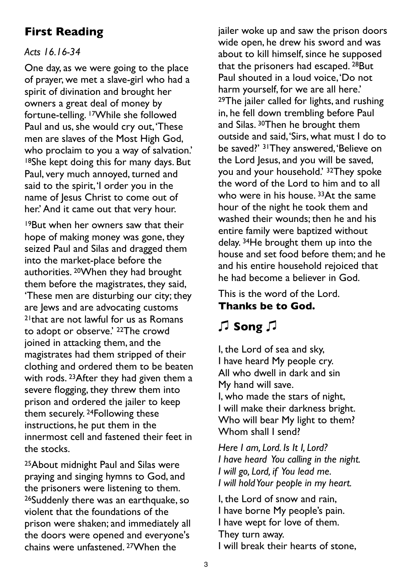## **First Reading**

#### *Acts 16.16-34*

One day, as we were going to the place of prayer, we met a slave-girl who had a spirit of divination and brought her owners a great deal of money by fortune-telling. 17While she followed Paul and us, she would cry out, 'These men are slaves of the Most High God, who proclaim to you a way of salvation.' 18She kept doing this for many days. But Paul, very much annoyed, turned and said to the spirit, 'I order you in the name of Jesus Christ to come out of her.' And it came out that very hour.

19But when her owners saw that their hope of making money was gone, they seized Paul and Silas and dragged them into the market-place before the authorities. 20When they had brought them before the magistrates, they said, 'These men are disturbing our city; they are lews and are advocating customs 21that are not lawful for us as Romans to adopt or observe.' 22The crowd joined in attacking them, and the magistrates had them stripped of their clothing and ordered them to be beaten with rods. 23After they had given them a severe flogging, they threw them into prison and ordered the jailer to keep them securely. 24Following these instructions, he put them in the innermost cell and fastened their feet in the stocks.

25About midnight Paul and Silas were praying and singing hymns to God, and the prisoners were listening to them. 26Suddenly there was an earthquake, so violent that the foundations of the prison were shaken; and immediately all the doors were opened and everyone's chains were unfastened. 27When the

jailer woke up and saw the prison doors wide open, he drew his sword and was about to kill himself, since he supposed that the prisoners had escaped. 28But Paul shouted in a loud voice, 'Do not harm yourself, for we are all here.' 29The jailer called for lights, and rushing in, he fell down trembling before Paul and Silas. 30Then he brought them outside and said, 'Sirs, what must I do to be saved?' <sup>31</sup>They answered, 'Believe on the Lord Jesus, and you will be saved, you and your household.' 32They spoke the word of the Lord to him and to all who were in his house. <sup>33</sup>At the same hour of the night he took them and washed their wounds; then he and his entire family were baptized without delay. 34He brought them up into the house and set food before them; and he and his entire household rejoiced that he had become a believer in God.

This is the word of the Lord.

**Thanks be to God.**

# 㽈 **Song** 㽈

I, the Lord of sea and sky, I have heard My people cry. All who dwell in dark and sin My hand will save. I, who made the stars of night, I will make their darkness bright. Who will bear My light to them? Whom shall I send?

*Here I am, Lord. Is It I, Lord? I have heard You calling in the night. I will go, Lord, if You lead me. I will hold Your people in my heart.*

I, the Lord of snow and rain, I have borne My people's pain. I have wept for love of them. They turn away. I will break their hearts of stone,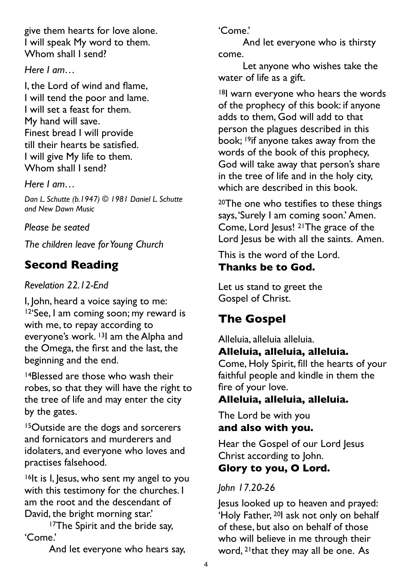give them hearts for love alone. I will speak My word to them. Whom shall I send?

### *Here I am…*

I, the Lord of wind and flame, I will tend the poor and lame. I will set a feast for them. My hand will save. Finest bread I will provide till their hearts be satisfied. I will give My life to them. Whom shall I send?

*Here I am…*

*Dan L. Schutte (b.1947) © 1981 Daniel L. Schutte and New Dawn Music*

*Please be seated*

*The children leave for Young Church*

# **Second Reading**

### *Revelation 22.12-End*

I, John, heard a voice saying to me: <sup>12'</sup>See, I am coming soon; my reward is with me, to repay according to everyone's work. 13I am the Alpha and the Omega, the first and the last, the beginning and the end.

14Blessed are those who wash their robes, so that they will have the right to the tree of life and may enter the city by the gates.

15Outside are the dogs and sorcerers and fornicators and murderers and idolaters, and everyone who loves and practises falsehood.

<sup>16</sup>It is I, Jesus, who sent my angel to you with this testimony for the churches. I am the root and the descendant of David, the bright morning star.'

17The Spirit and the bride say, 'Come.'

And let everyone who hears say,

'Come.'

And let everyone who is thirsty come.

Let anyone who wishes take the water of life as a gift.

18I warn everyone who hears the words of the prophecy of this book: if anyone adds to them, God will add to that person the plagues described in this book; 19if anyone takes away from the words of the book of this prophecy, God will take away that person's share in the tree of life and in the holy city, which are described in this book.

20The one who testifies to these things says, 'Surely I am coming soon.' Amen. Come, Lord Jesus! 21The grace of the Lord Jesus be with all the saints. Amen.

This is the word of the Lord.

## **Thanks be to God.**

Let us stand to greet the Gospel of Christ.

# **The Gospel**

Alleluia, alleluia alleluia.

**Alleluia, alleluia, alleluia.** 

Come, Holy Spirit, fill the hearts of your faithful people and kindle in them the fire of your love.

## **Alleluia, alleluia, alleluia.**

The Lord be with you **and also with you.**

Hear the Gospel of our Lord Jesus Christ according to John.

## **Glory to you, O Lord.**

### *John 17.20-26*

Jesus looked up to heaven and prayed: 'Holy Father, 20I ask not only on behalf of these, but also on behalf of those who will believe in me through their word, <sup>21</sup> that they may all be one. As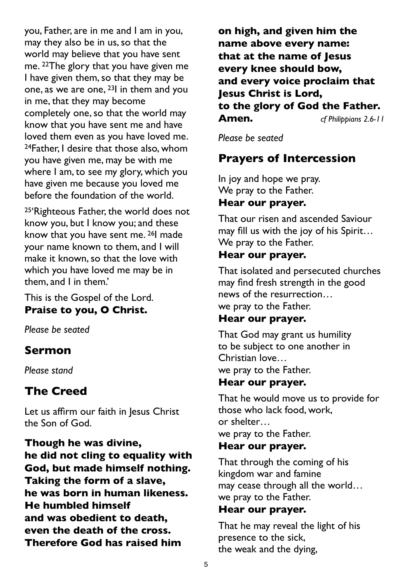you, Father, are in me and I am in you, may they also be in us, so that the world may believe that you have sent me. 22The glory that you have given me I have given them, so that they may be one, as we are one, 23I in them and you in me, that they may become completely one, so that the world may know that you have sent me and have loved them even as you have loved me. 24Father, I desire that those also, whom you have given me, may be with me where I am, to see my glory, which you have given me because you loved me before the foundation of the world.

25'Righteous Father, the world does not know you, but I know you; and these know that you have sent me. 26I made your name known to them, and I will make it known, so that the love with which you have loved me may be in them, and I in them.'

This is the Gospel of the Lord. **Praise to you, O Christ.**

*Please be seated* 

## **Sermon**

*Please stand* 

## **The Creed**

Let us affirm our faith in Jesus Christ the Son of God.

**Though he was divine, he did not cling to equality with God, but made himself nothing. Taking the form of a slave, he was born in human likeness. He humbled himself and was obedient to death, even the death of the cross. Therefore God has raised him** 

**on high, and given him the name above every name: that at the name of Jesus every knee should bow, and every voice proclaim that Jesus Christ is Lord, to the glory of God the Father. Amen.** *cf Philippians 2.6-11*

*Please be seated*

# **Prayers of Intercession**

In joy and hope we pray. We pray to the Father. **Hear our prayer.**

That our risen and ascended Saviour may fill us with the joy of his Spirit… We pray to the Father.

### **Hear our prayer.**

That isolated and persecuted churches may find fresh strength in the good news of the resurrection… we pray to the Father.

### **Hear our prayer.**

That God may grant us humility to be subject to one another in Christian love… we pray to the Father.

### **Hear our prayer.**

That he would move us to provide for those who lack food, work, or shelter… we pray to the Father.

### **Hear our prayer.**

That through the coming of his kingdom war and famine may cease through all the world… we pray to the Father.

### **Hear our prayer.**

That he may reveal the light of his presence to the sick, the weak and the dying,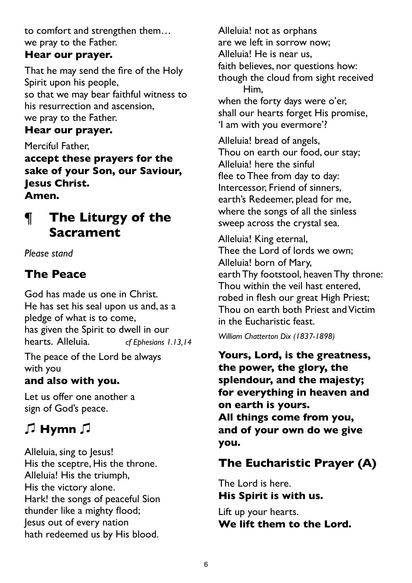to comfort and strengthen them… we pray to the Father.

### **Hear our prayer.**

That he may send the fire of the Holy Spirit upon his people, so that we may bear faithful witness to his resurrection and ascension, we pray to the Father.

### **Hear our prayer.**

Merciful Father,

**accept these prayers for the sake of your Son, our Saviour, Jesus Christ. Amen.**

# **¶ The Liturgy of the Sacrament**

*Please stand* 

# **The Peace**

God has made us one in Christ. He has set his seal upon us and, as a pledge of what is to come, has given the Spirit to dwell in our hearts. Alleluia. *cf Ephesians 1.13,14*

The peace of the Lord be always with you

### **and also with you.**

Let us offer one another a sign of God's peace.

# 㽈 **Hymn** 㽈

Alleluia, sing to Jesus! His the sceptre, His the throne. Alleluia! His the triumph, His the victory alone. Hark! the songs of peaceful Sion thunder like a mighty flood; Jesus out of every nation hath redeemed us by His blood.

Alleluia! not as orphans are we left in sorrow now; Alleluia! He is near us, faith believes, nor questions how: though the cloud from sight received Him, when the forty days were o'er, shall our hearts forget His promise, 'I am with you evermore'?

Alleluia! bread of angels, Thou on earth our food, our stay; Alleluia! here the sinful flee to Thee from day to day: Intercessor, Friend of sinners, earth's Redeemer, plead for me, where the songs of all the sinless sweep across the crystal sea.

Alleluia! King eternal, Thee the Lord of lords we own; Alleluia! born of Mary, earth Thy footstool, heaven Thy throne: Thou within the veil hast entered, robed in flesh our great High Priest; Thou on earth both Priest and Victim in the Eucharistic feast.

*William Chatterton Dix (1837-1898)*

**Yours, Lord, is the greatness, the power, the glory, the splendour, and the majesty; for everything in heaven and on earth is yours. All things come from you, and of your own do we give you.**

## **The Eucharistic Prayer (A)**

The Lord is here. **His Spirit is with us.**

Lift up your hearts. **We lift them to the Lord.**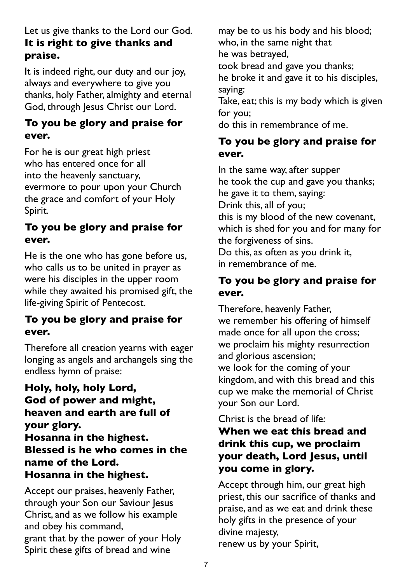Let us give thanks to the Lord our God. **It is right to give thanks and praise.**

It is indeed right, our duty and our joy, always and everywhere to give you thanks, holy Father, almighty and eternal God, through Jesus Christ our Lord.

### **To you be glory and praise for ever.**

For he is our great high priest who has entered once for all into the heavenly sanctuary, evermore to pour upon your Church the grace and comfort of your Holy Spirit.

### **To you be glory and praise for ever.**

He is the one who has gone before us, who calls us to be united in prayer as were his disciples in the upper room while they awaited his promised gift, the life-giving Spirit of Pentecost.

### **To you be glory and praise for ever.**

Therefore all creation yearns with eager longing as angels and archangels sing the endless hymn of praise:

### **Holy, holy, holy Lord, God of power and might, heaven and earth are full of your glory. Hosanna in the highest. Blessed is he who comes in the name of the Lord. Hosanna in the highest.**

Accept our praises, heavenly Father, through your Son our Saviour Jesus Christ, and as we follow his example and obey his command, grant that by the power of your Holy Spirit these gifts of bread and wine

may be to us his body and his blood; who, in the same night that

he was betrayed,

took bread and gave you thanks;

he broke it and gave it to his disciples, saying:

Take, eat; this is my body which is given for you;

do this in remembrance of me.

### **To you be glory and praise for ever.**

In the same way, after supper he took the cup and gave you thanks; he gave it to them, saying: Drink this, all of you; this is my blood of the new covenant, which is shed for you and for many for the forgiveness of sins. Do this, as often as you drink it, in remembrance of me.

### **To you be glory and praise for ever.**

Therefore, heavenly Father, we remember his offering of himself made once for all upon the cross; we proclaim his mighty resurrection and glorious ascension; we look for the coming of your kingdom, and with this bread and this cup we make the memorial of Christ your Son our Lord.

### Christ is the bread of life:

### **When we eat this bread and drink this cup, we proclaim your death, Lord Jesus, until you come in glory.**

Accept through him, our great high priest, this our sacrifice of thanks and praise, and as we eat and drink these holy gifts in the presence of your divine majesty, renew us by your Spirit,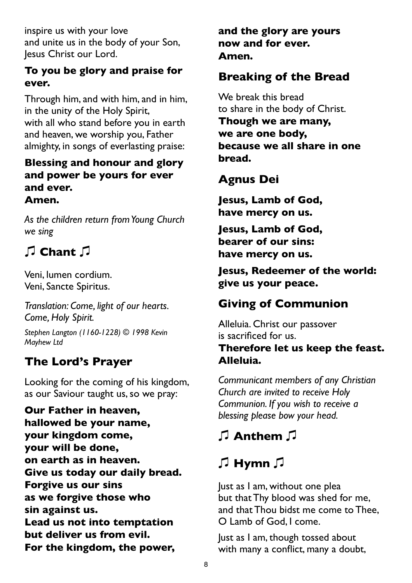inspire us with your love and unite us in the body of your Son, Jesus Christ our Lord.

### **To you be glory and praise for ever.**

Through him, and with him, and in him, in the unity of the Holy Spirit, with all who stand before you in earth and heaven, we worship you, Father almighty, in songs of everlasting praise:

#### **Blessing and honour and glory and power be yours for ever and ever. Amen.**

*As the children return from Young Church we sing*

# 㽈 **Chant** 㽈

Veni, lumen cordium. Veni, Sancte Spiritus.

*Translation: Come, light of our hearts. Come, Holy Spirit.*

*Stephen Langton (1160-1228) © 1998 Kevin Mayhew Ltd*

## **The Lord's Prayer**

Looking for the coming of his kingdom, as our Saviour taught us, so we pray:

**Our Father in heaven, hallowed be your name, your kingdom come, your will be done, on earth as in heaven. Give us today our daily bread. Forgive us our sins as we forgive those who sin against us. Lead us not into temptation but deliver us from evil. For the kingdom, the power,**

**and the glory are yours now and for ever. Amen.** 

## **Breaking of the Bread**

We break this bread to share in the body of Christ. **Though we are many, we are one body, because we all share in one bread.**

## **Agnus Dei**

**Jesus, Lamb of God, have mercy on us.**

**Jesus, Lamb of God, bearer of our sins: have mercy on us.**

**Jesus, Redeemer of the world: give us your peace.**

## **Giving of Communion**

Alleluia. Christ our passover is sacrificed for us. **Therefore let us keep the feast. Alleluia.**

*Communicant members of any Christian Church are invited to receive Holy Communion. If you wish to receive a blessing please bow your head.*

# 㽈 **Anthem** 㽈

# 㽈 **Hymn** 㽈

Just as I am, without one plea but that Thy blood was shed for me, and that Thou bidst me come to Thee, O Lamb of God, I come.

Just as I am, though tossed about with many a conflict, many a doubt,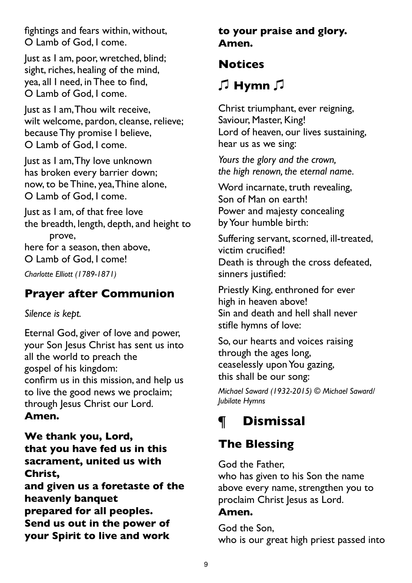fightings and fears within, without, O Lamb of God, I come.

Just as I am, poor, wretched, blind; sight, riches, healing of the mind, yea, all I need, in Thee to find, O Lamb of God, I come.

Just as I am, Thou wilt receive, wilt welcome, pardon, cleanse, relieve; because Thy promise I believe, O Lamb of God, I come.

Just as I am, Thy love unknown has broken every barrier down; now, to be Thine, yea, Thine alone, O Lamb of God, I come.

Just as I am, of that free love the breadth, length, depth, and height to prove, here for a season, then above, O Lamb of God, I come!

*Charlotte Elliott (1789-1871)*

## **Prayer after Communion**

### *Silence is kept.*

Eternal God, giver of love and power, your Son Jesus Christ has sent us into all the world to preach the gospel of his kingdom: confirm us in this mission, and help us to live the good news we proclaim; through Jesus Christ our Lord. **Amen.**

**We thank you, Lord, that you have fed us in this sacrament, united us with Christ, and given us a foretaste of the heavenly banquet prepared for all peoples. Send us out in the power of your Spirit to live and work**

### **to your praise and glory. Amen.**

## **Notices**

# 㽈 **Hymn** 㽈

Christ triumphant, ever reigning, Saviour, Master, King! Lord of heaven, our lives sustaining, hear us as we sing:

*Yours the glory and the crown, the high renown, the eternal name.*

Word incarnate, truth revealing, Son of Man on earth! Power and majesty concealing by Your humble birth:

Suffering servant, scorned, ill-treated, victim crucified! Death is through the cross defeated, sinners justified:

Priestly King, enthroned for ever high in heaven above! Sin and death and hell shall never stifle hymns of love:

So, our hearts and voices raising through the ages long, ceaselessly upon You gazing, this shall be our song:

*Michael Saward (1932-2015) © Michael Saward/ Jubilate Hymns*

# **¶ Dismissal**

# **The Blessing**

God the Father,

who has given to his Son the name above every name, strengthen you to proclaim Christ Jesus as Lord.

### **Amen.**

God the Son, who is our great high priest passed into